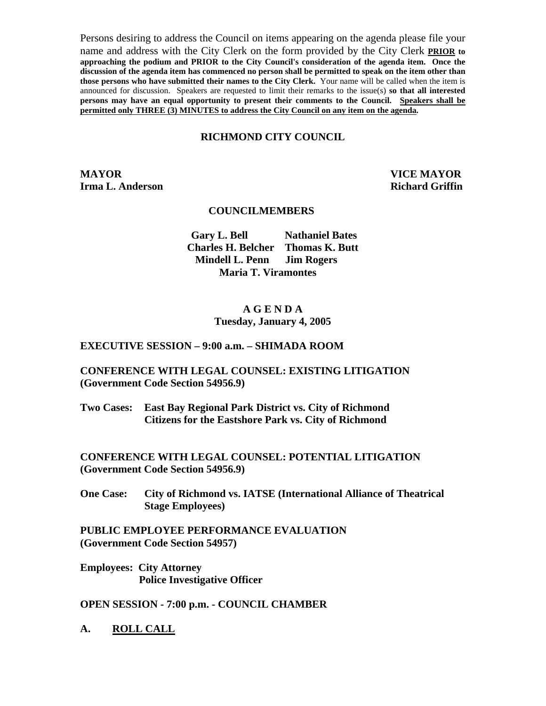Persons desiring to address the Council on items appearing on the agenda please file your name and address with the City Clerk on the form provided by the City Clerk **PRIOR to approaching the podium and PRIOR to the City Council's consideration of the agenda item. Once the discussion of the agenda item has commenced no person shall be permitted to speak on the item other than those persons who have submitted their names to the City Clerk.** Your name will be called when the item is announced for discussion. Speakers are requested to limit their remarks to the issue(s) **so that all interested persons may have an equal opportunity to present their comments to the Council. Speakers shall be permitted only THREE (3) MINUTES to address the City Council on any item on the agenda.**

# **RICHMOND CITY COUNCIL**

**MAYOR VICE MAYOR Irma L. Anderson Richard Griffin Richard Griffin** 

## **COUNCILMEMBERS**

 **Gary L. Bell Nathaniel Bates Charles H. Belcher Thomas K. Butt Mindell L. Penn Jim Rogers Maria T. Viramontes** 

# **A G E N D A Tuesday, January 4, 2005**

#### **EXECUTIVE SESSION – 9:00 a.m. – SHIMADA ROOM**

#### **CONFERENCE WITH LEGAL COUNSEL: EXISTING LITIGATION (Government Code Section 54956.9)**

**Two Cases: East Bay Regional Park District vs. City of Richmond Citizens for the Eastshore Park vs. City of Richmond** 

**CONFERENCE WITH LEGAL COUNSEL: POTENTIAL LITIGATION (Government Code Section 54956.9)** 

**One Case: City of Richmond vs. IATSE (International Alliance of Theatrical Stage Employees)** 

**PUBLIC EMPLOYEE PERFORMANCE EVALUATION (Government Code Section 54957)** 

**Employees: City Attorney Police Investigative Officer** 

**OPEN SESSION - 7:00 p.m. - COUNCIL CHAMBER** 

**A. ROLL CALL**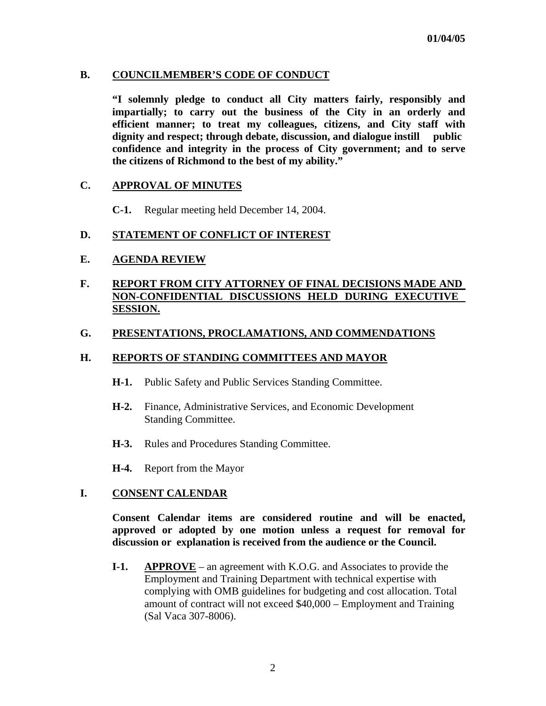## **B. COUNCILMEMBER'S CODE OF CONDUCT**

 **"I solemnly pledge to conduct all City matters fairly, responsibly and impartially; to carry out the business of the City in an orderly and efficient manner; to treat my colleagues, citizens, and City staff with dignity and respect; through debate, discussion, and dialogue instill public confidence and integrity in the process of City government; and to serve the citizens of Richmond to the best of my ability."** 

#### **C. APPROVAL OF MINUTES**

**C-1.** Regular meeting held December 14, 2004.

## **D. STATEMENT OF CONFLICT OF INTEREST**

#### **E. AGENDA REVIEW**

# **F. REPORT FROM CITY ATTORNEY OF FINAL DECISIONS MADE AND NON-CONFIDENTIAL DISCUSSIONS HELD DURING EXECUTIVE SESSION.**

# **G. PRESENTATIONS, PROCLAMATIONS, AND COMMENDATIONS**

## **H. REPORTS OF STANDING COMMITTEES AND MAYOR**

- **H-1.** Public Safety and Public Services Standing Committee.
- **H-2.** Finance, Administrative Services, and Economic Development Standing Committee.
- **H-3.** Rules and Procedures Standing Committee.
- **H-4.** Report from the Mayor

# **I. CONSENT CALENDAR**

 **Consent Calendar items are considered routine and will be enacted, approved or adopted by one motion unless a request for removal for discussion or explanation is received from the audience or the Council.** 

 **I-1. APPROVE** – an agreement with K.O.G. and Associates to provide the Employment and Training Department with technical expertise with complying with OMB guidelines for budgeting and cost allocation. Total amount of contract will not exceed \$40,000 – Employment and Training (Sal Vaca 307-8006).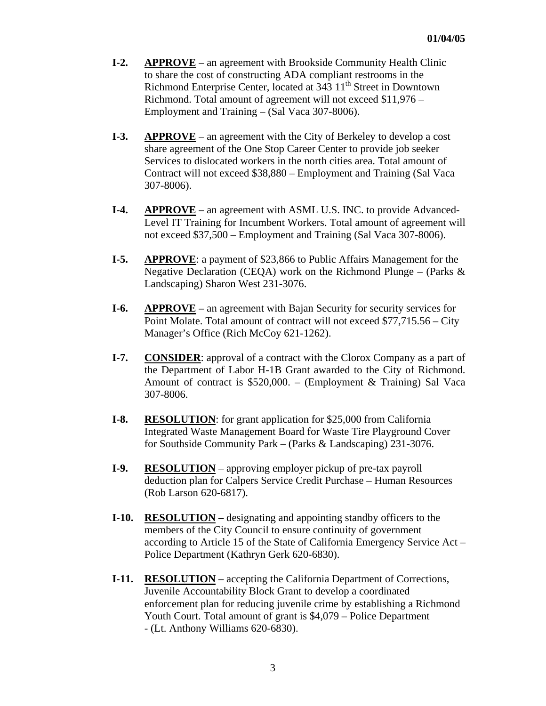- **I-2. APPROVE** an agreement with Brookside Community Health Clinic to share the cost of constructing ADA compliant restrooms in the Richmond Enterprise Center, located at 343 11<sup>th</sup> Street in Downtown Richmond. Total amount of agreement will not exceed \$11,976 – Employment and Training – (Sal Vaca 307-8006).
- **I-3.** APPROVE an agreement with the City of Berkeley to develop a cost share agreement of the One Stop Career Center to provide job seeker Services to dislocated workers in the north cities area. Total amount of Contract will not exceed \$38,880 – Employment and Training (Sal Vaca 307-8006).
- **I-4. APPROVE** an agreement with ASML U.S. INC. to provide Advanced- Level IT Training for Incumbent Workers. Total amount of agreement will not exceed \$37,500 – Employment and Training (Sal Vaca 307-8006).
- **I-5. APPROVE**: a payment of \$23,866 to Public Affairs Management for the Negative Declaration (CEQA) work on the Richmond Plunge – (Parks  $\&$ Landscaping) Sharon West 231-3076.
- **I-6.** APPROVE an agreement with Bajan Security for security services for Point Molate. Total amount of contract will not exceed \$77,715.56 – City Manager's Office (Rich McCoy 621-1262).
- **I-7. CONSIDER**: approval of a contract with the Clorox Company as a part of the Department of Labor H-1B Grant awarded to the City of Richmond. Amount of contract is \$520,000. – (Employment & Training) Sal Vaca 307-8006.
- **I-8. RESOLUTION**: for grant application for \$25,000 from California Integrated Waste Management Board for Waste Tire Playground Cover for Southside Community Park – (Parks & Landscaping) 231-3076.
- **I-9. RESOLUTION** approving employer pickup of pre-tax payroll deduction plan for Calpers Service Credit Purchase – Human Resources (Rob Larson 620-6817).
- **I-10. RESOLUTION** designating and appointing standby officers to the members of the City Council to ensure continuity of government according to Article 15 of the State of California Emergency Service Act – Police Department (Kathryn Gerk 620-6830).
- **I-11. RESOLUTION** accepting the California Department of Corrections, Juvenile Accountability Block Grant to develop a coordinated enforcement plan for reducing juvenile crime by establishing a Richmond Youth Court. Total amount of grant is \$4,079 – Police Department - (Lt. Anthony Williams 620-6830).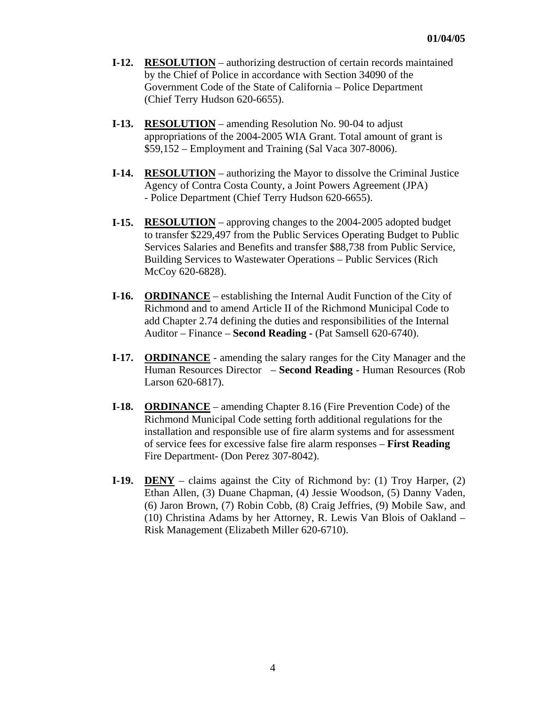- **I-12. RESOLUTION** authorizing destruction of certain records maintained by the Chief of Police in accordance with Section 34090 of the Government Code of the State of California – Police Department (Chief Terry Hudson 620-6655).
- **I-13. RESOLUTION** amending Resolution No. 90-04 to adjust appropriations of the 2004-2005 WIA Grant. Total amount of grant is \$59,152 – Employment and Training (Sal Vaca 307-8006).
- **I-14. RESOLUTION** authorizing the Mayor to dissolve the Criminal Justice Agency of Contra Costa County, a Joint Powers Agreement (JPA) - Police Department (Chief Terry Hudson 620-6655).
- **I-15. RESOLUTION** approving changes to the 2004-2005 adopted budget to transfer \$229,497 from the Public Services Operating Budget to Public Services Salaries and Benefits and transfer \$88,738 from Public Service, Building Services to Wastewater Operations – Public Services (Rich McCoy 620-6828).
- **I-16. ORDINANCE** establishing the Internal Audit Function of the City of Richmond and to amend Article II of the Richmond Municipal Code to add Chapter 2.74 defining the duties and responsibilities of the Internal Auditor – Finance – **Second Reading -** (Pat Samsell 620-6740).
- **I-17. ORDINANCE** amending the salary ranges for the City Manager and the Human Resources Director – **Second Reading -** Human Resources (Rob Larson 620-6817).
- **I-18. ORDINANCE** amending Chapter 8.16 (Fire Prevention Code) of the Richmond Municipal Code setting forth additional regulations for the installation and responsible use of fire alarm systems and for assessment of service fees for excessive false fire alarm responses – **First Reading**  Fire Department- (Don Perez 307-8042).
- **I-19. DENY** claims against the City of Richmond by: (1) Troy Harper, (2) Ethan Allen, (3) Duane Chapman, (4) Jessie Woodson, (5) Danny Vaden, (6) Jaron Brown, (7) Robin Cobb, (8) Craig Jeffries, (9) Mobile Saw, and (10) Christina Adams by her Attorney, R. Lewis Van Blois of Oakland – Risk Management (Elizabeth Miller 620-6710).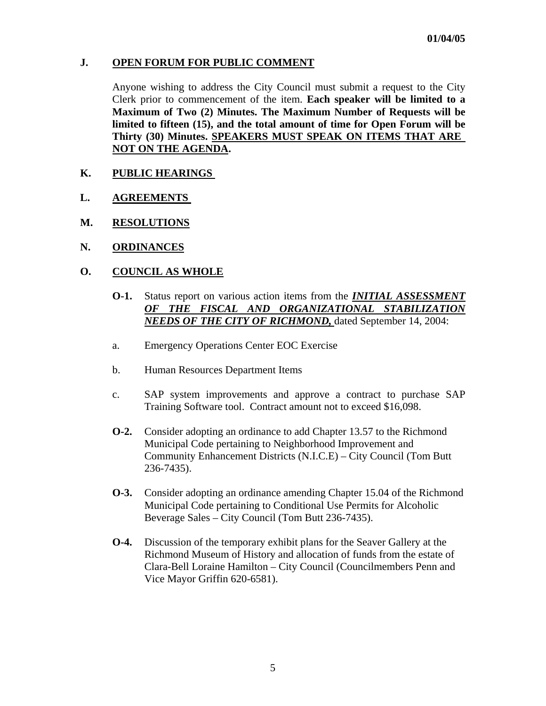# **J. OPEN FORUM FOR PUBLIC COMMENT**

Anyone wishing to address the City Council must submit a request to the City Clerk prior to commencement of the item. **Each speaker will be limited to a Maximum of Two (2) Minutes. The Maximum Number of Requests will be limited to fifteen (15), and the total amount of time for Open Forum will be Thirty (30) Minutes. SPEAKERS MUST SPEAK ON ITEMS THAT ARE NOT ON THE AGENDA.** 

# **K. PUBLIC HEARINGS**

- **L. AGREEMENTS**
- **M. RESOLUTIONS**
- **N. ORDINANCES**

# **O. COUNCIL AS WHOLE**

- **O-1.** Status report on various action items from the *INITIAL ASSESSMENT OF THE FISCAL AND ORGANIZATIONAL STABILIZATION NEEDS OF THE CITY OF RICHMOND,* dated September 14, 2004:
- a. Emergency Operations Center EOC Exercise
- b. Human Resources Department Items
- c. SAP system improvements and approve a contract to purchase SAP Training Software tool. Contract amount not to exceed \$16,098.
- **O-2.** Consider adopting an ordinance to add Chapter 13.57 to the Richmond Municipal Code pertaining to Neighborhood Improvement and Community Enhancement Districts (N.I.C.E) – City Council (Tom Butt 236-7435).
- **O-3.** Consider adopting an ordinance amending Chapter 15.04 of the Richmond Municipal Code pertaining to Conditional Use Permits for Alcoholic Beverage Sales – City Council (Tom Butt 236-7435).
- **O-4.** Discussion of the temporary exhibit plans for the Seaver Gallery at the Richmond Museum of History and allocation of funds from the estate of Clara-Bell Loraine Hamilton – City Council (Councilmembers Penn and Vice Mayor Griffin 620-6581).